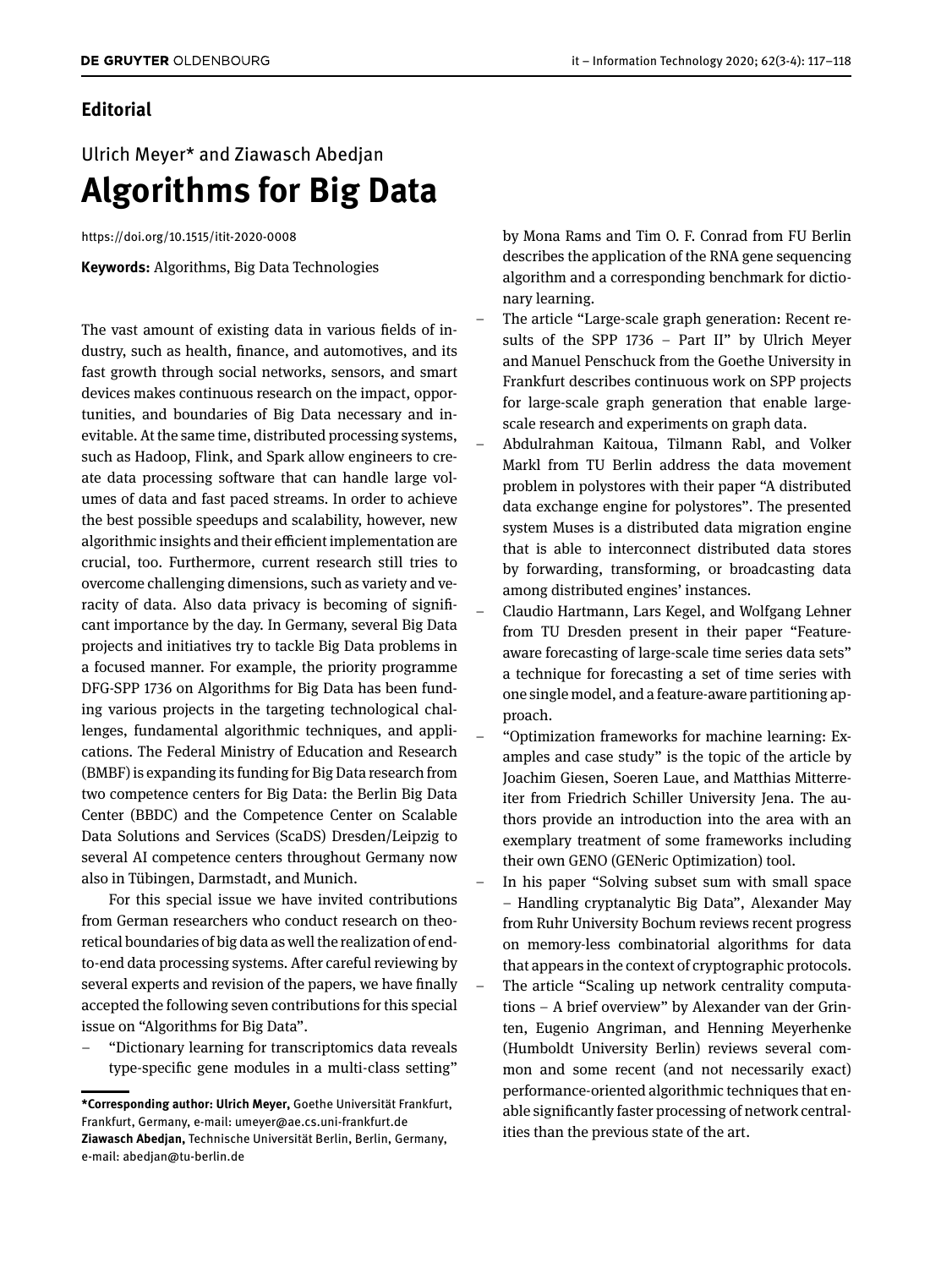## **Editorial**

## Ulrich Meyer\* and Ziawasch Abedjan **Algorithms for Big Data**

<https://doi.org/10.1515/itit-2020-0008>

**Keywords:** Algorithms, Big Data Technologies

The vast amount of existing data in various felds of industry, such as health, fnance, and automotives, and its fast growth through social networks, sensors, and smart devices makes continuous research on the impact, opportunities, and boundaries of Big Data necessary and inevitable. At the same time, distributed processing systems, such as Hadoop, Flink, and Spark allow engineers to create data processing software that can handle large volumes of data and fast paced streams. In order to achieve the best possible speedups and scalability, however, new algorithmic insights and their efficient implementation are crucial, too. Furthermore, current research still tries to overcome challenging dimensions, such as variety and veracity of data. Also data privacy is becoming of signifcant importance by the day. In Germany, several Big Data projects and initiatives try to tackle Big Data problems in a focused manner. For example, the priority programme DFG-SPP 1736 on Algorithms for Big Data has been funding various projects in the targeting technological challenges, fundamental algorithmic techniques, and applications. The Federal Ministry of Education and Research (BMBF) is expanding its funding for Big Data research from two competence centers for Big Data: the Berlin Big Data Center (BBDC) and the Competence Center on Scalable Data Solutions and Services (ScaDS) Dresden/Leipzig to several AI competence centers throughout Germany now also in Tübingen, Darmstadt, and Munich.

For this special issue we have invited contributions from German researchers who conduct research on theoretical boundaries of big data as well the realization of endto-end data processing systems. After careful reviewing by several experts and revision of the papers, we have fnally accepted the following seven contributions for this special issue on "Algorithms for Big Data".

– "Dictionary learning for transcriptomics data reveals type-specifc gene modules in a multi-class setting"

by Mona Rams and Tim O. F. Conrad from FU Berlin describes the application of the RNA gene sequencing algorithm and a corresponding benchmark for dictionary learning.

- The article "Large-scale graph generation: Recent results of the SPP 1736 – Part II" by Ulrich Meyer and Manuel Penschuck from the Goethe University in Frankfurt describes continuous work on SPP projects for large-scale graph generation that enable largescale research and experiments on graph data.
- Abdulrahman Kaitoua, Tilmann Rabl, and Volker Markl from TU Berlin address the data movement problem in polystores with their paper "A distributed data exchange engine for polystores". The presented system Muses is a distributed data migration engine that is able to interconnect distributed data stores by forwarding, transforming, or broadcasting data among distributed engines' instances.
- Claudio Hartmann, Lars Kegel, and Wolfgang Lehner from TU Dresden present in their paper "Featureaware forecasting of large-scale time series data sets" a technique for forecasting a set of time series with one single model, and a feature-aware partitioning approach.
- "Optimization frameworks for machine learning: Examples and case study" is the topic of the article by Joachim Giesen, Soeren Laue, and Matthias Mitterreiter from Friedrich Schiller University Jena. The authors provide an introduction into the area with an exemplary treatment of some frameworks including their own GENO (GENeric Optimization) tool.
- In his paper "Solving subset sum with small space – Handling cryptanalytic Big Data", Alexander May from Ruhr University Bochum reviews recent progress on memory-less combinatorial algorithms for data that appears in the context of cryptographic protocols. The article "Scaling up network centrality computations – A brief overview" by Alexander van der Grinten, Eugenio Angriman, and Henning Meyerhenke (Humboldt University Berlin) reviews several common and some recent (and not necessarily exact) performance-oriented algorithmic techniques that enable signifcantly faster processing of network centralities than the previous state of the art.

**<sup>\*</sup>Corresponding author: Ulrich Meyer,** Goethe Universität Frankfurt, Frankfurt, Germany, e-mail: [umeyer@ae.cs.uni-frankfurt.de](mailto:umeyer@ae.cs.uni-frankfurt.de) **Ziawasch Abedjan,** Technische Universität Berlin, Berlin, Germany, e-mail: [abedjan@tu-berlin.de](mailto:abedjan@tu-berlin.de)